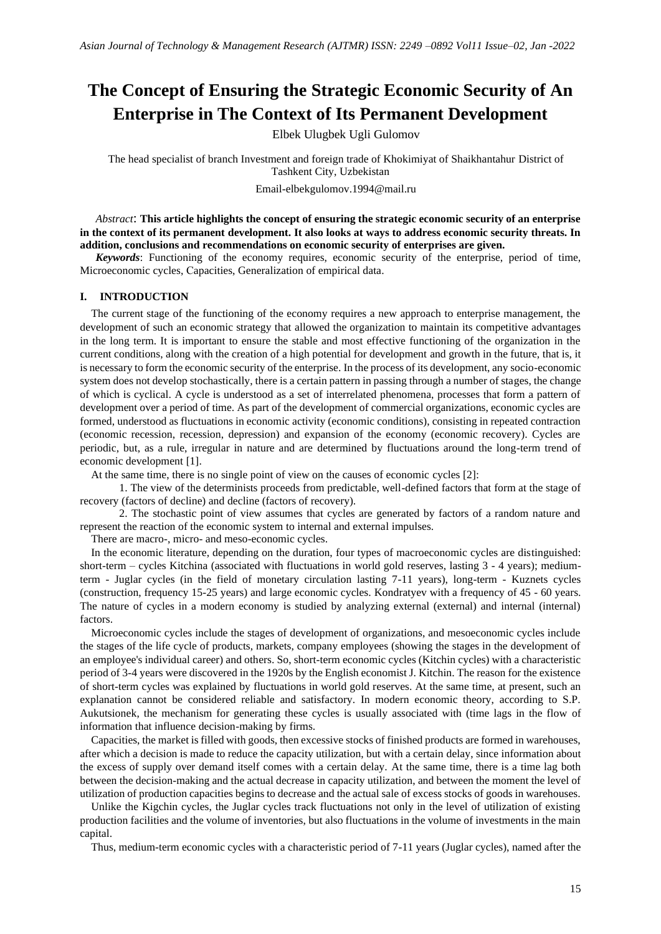# **The Concept of Ensuring the Strategic Economic Security of An Enterprise in The Context of Its Permanent Development**

Elbek Ulugbek Ugli Gulomov

The head specialist of branch Investment and foreign trade of Khokimiyat of Shaikhantahur District of Tashkent City, Uzbekistan

Email-elbekgulomov.1994@mail.ru

*Abstract*: **This article highlights the concept of ensuring the strategic economic security of an enterprise in the context of its permanent development. It also looks at ways to address economic security threats. In addition, conclusions and recommendations on economic security of enterprises are given.**

*Keywords*: Functioning of the economy requires, economic security of the enterprise, period of time, Microeconomic cycles, Сapacities, Generalization of empirical data.

### **I. INTRODUCTION**

The current stage of the functioning of the economy requires a new approach to enterprise management, the development of such an economic strategy that allowed the organization to maintain its competitive advantages in the long term. It is important to ensure the stable and most effective functioning of the organization in the current conditions, along with the creation of a high potential for development and growth in the future, that is, it is necessary to form the economic security of the enterprise. In the process of its development, any socio-economic system does not develop stochastically, there is a certain pattern in passing through a number of stages, the change of which is cyclical. A cycle is understood as a set of interrelated phenomena, processes that form a pattern of development over a period of time. As part of the development of commercial organizations, economic cycles are formed, understood as fluctuations in economic activity (economic conditions), consisting in repeated contraction (economic recession, recession, depression) and expansion of the economy (economic recovery). Cycles are periodic, but, as a rule, irregular in nature and are determined by fluctuations around the long-term trend of economic development [1].

At the same time, there is no single point of view on the causes of economic cycles [2]:

1. The view of the determinists proceeds from predictable, well-defined factors that form at the stage of recovery (factors of decline) and decline (factors of recovery).

2. The stochastic point of view assumes that cycles are generated by factors of a random nature and represent the reaction of the economic system to internal and external impulses.

There are macro-, micro- and meso-economic cycles.

In the economic literature, depending on the duration, four types of macroeconomic cycles are distinguished: short-term – cycles Kitchina (associated with fluctuations in world gold reserves, lasting 3 - 4 years); mediumterm - Juglar cycles (in the field of monetary circulation lasting 7-11 years), long-term - Kuznets cycles (construction, frequency 15-25 years) and large economic cycles. Kondratyev with a frequency of 45 - 60 years. The nature of cycles in a modern economy is studied by analyzing external (external) and internal (internal) factors.

Microeconomic cycles include the stages of development of organizations, and mesoeconomic cycles include the stages of the life cycle of products, markets, company employees (showing the stages in the development of an employee's individual career) and others. So, short-term economic cycles (Kitchin cycles) with a characteristic period of 3-4 years were discovered in the 1920s by the English economist J. Kitchin. The reason for the existence of short-term cycles was explained by fluctuations in world gold reserves. At the same time, at present, such an explanation cannot be considered reliable and satisfactory. In modern economic theory, according to S.P. Aukutsionek, the mechanism for generating these cycles is usually associated with (time lags in the flow of information that influence decision-making by firms.

Capacities, the market is filled with goods, then excessive stocks of finished products are formed in warehouses, after which a decision is made to reduce the capacity utilization, but with a certain delay, since information about the excess of supply over demand itself comes with a certain delay. At the same time, there is a time lag both between the decision-making and the actual decrease in capacity utilization, and between the moment the level of utilization of production capacities begins to decrease and the actual sale of excess stocks of goods in warehouses.

Unlike the Kigchin cycles, the Juglar cycles track fluctuations not only in the level of utilization of existing production facilities and the volume of inventories, but also fluctuations in the volume of investments in the main capital.

Thus, medium-term economic cycles with a characteristic period of 7-11 years (Juglar cycles), named after the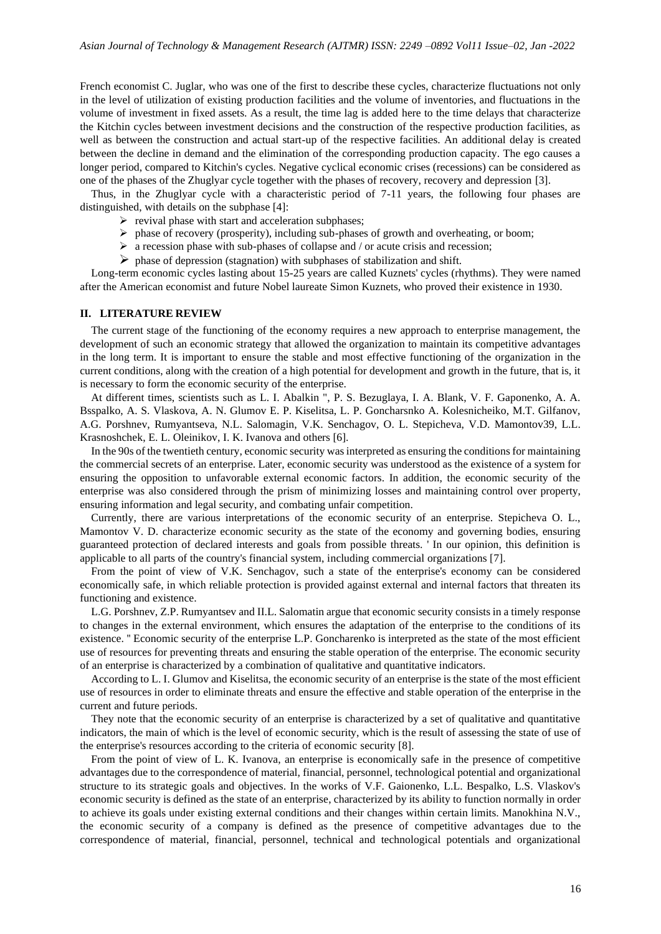French economist C. Juglar, who was one of the first to describe these cycles, characterize fluctuations not only in the level of utilization of existing production facilities and the volume of inventories, and fluctuations in the volume of investment in fixed assets. As a result, the time lag is added here to the time delays that characterize the Kitchin cycles between investment decisions and the construction of the respective production facilities, as well as between the construction and actual start-up of the respective facilities. An additional delay is created between the decline in demand and the elimination of the corresponding production capacity. The ego causes a longer period, compared to Kitchin's cycles. Negative cyclical economic crises (recessions) can be considered as one of the phases of the Zhuglyar cycle together with the phases of recovery, recovery and depression [3].

Thus, in the Zhuglyar cycle with a characteristic period of 7-11 years, the following four phases are distinguished, with details on the subphase [4]:

- $\triangleright$  revival phase with start and acceleration subphases;
- $\triangleright$  phase of recovery (prosperity), including sub-phases of growth and overheating, or boom;
- $\triangleright$  a recession phase with sub-phases of collapse and / or acute crisis and recession;
- $\triangleright$  phase of depression (stagnation) with subphases of stabilization and shift.

Long-term economic cycles lasting about 15-25 years are called Kuznets' cycles (rhythms). They were named after the American economist and future Nobel laureate Simon Kuznets, who proved their existence in 1930.

#### **II. LITERATURE REVIEW**

The current stage of the functioning of the economy requires a new approach to enterprise management, the development of such an economic strategy that allowed the organization to maintain its competitive advantages in the long term. It is important to ensure the stable and most effective functioning of the organization in the current conditions, along with the creation of a high potential for development and growth in the future, that is, it is necessary to form the economic security of the enterprise.

At different times, scientists such as L. I. Abalkin ", P. S. Bezuglaya, I. A. Blank, V. F. Gaponenko, A. A. Bsspalko, A. S. Vlaskova, A. N. Glumov E. P. Kiselitsa, L. P. Goncharsnko A. Kolesnicheiko, M.T. Gilfanov, A.G. Porshnev, Rumyantseva, N.L. Salomagin, V.K. Senchagov, O. L. Stepicheva, V.D. Mamontov39, L.L. Krasnoshchek, E. L. Oleinikov, I. K. Ivanova and others [6].

In the 90s of the twentieth century, economic security was interpreted as ensuring the conditions for maintaining the commercial secrets of an enterprise. Later, economic security was understood as the existence of a system for ensuring the opposition to unfavorable external economic factors. In addition, the economic security of the enterprise was also considered through the prism of minimizing losses and maintaining control over property, ensuring information and legal security, and combating unfair competition.

Currently, there are various interpretations of the economic security of an enterprise. Stepicheva O. L., Mamontov V. D. characterize economic security as the state of the economy and governing bodies, ensuring guaranteed protection of declared interests and goals from possible threats. ' In our opinion, this definition is applicable to all parts of the country's financial system, including commercial organizations [7].

From the point of view of V.K. Senchagov, such a state of the enterprise's economy can be considered economically safe, in which reliable protection is provided against external and internal factors that threaten its functioning and existence.

L.G. Porshnev, Z.P. Rumyantsev and II.L. Salomatin argue that economic security consists in a timely response to changes in the external environment, which ensures the adaptation of the enterprise to the conditions of its existence. '' Economic security of the enterprise L.P. Goncharenko is interpreted as the state of the most efficient use of resources for preventing threats and ensuring the stable operation of the enterprise. The economic security of an enterprise is characterized by a combination of qualitative and quantitative indicators.

According to L. I. Glumov and Kiselitsa, the economic security of an enterprise is the state of the most efficient use of resources in order to eliminate threats and ensure the effective and stable operation of the enterprise in the current and future periods.

They note that the economic security of an enterprise is characterized by a set of qualitative and quantitative indicators, the main of which is the level of economic security, which is the result of assessing the state of use of the enterprise's resources according to the criteria of economic security [8].

From the point of view of L. K. Ivanova, an enterprise is economically safe in the presence of competitive advantages due to the correspondence of material, financial, personnel, technological potential and organizational structure to its strategic goals and objectives. In the works of V.F. Gaionenko, L.L. Bespalko, L.S. Vlaskov's economic security is defined as the state of an enterprise, characterized by its ability to function normally in order to achieve its goals under existing external conditions and their changes within certain limits. Manokhina N.V., the economic security of a company is defined as the presence of competitive advantages due to the correspondence of material, financial, personnel, technical and technological potentials and organizational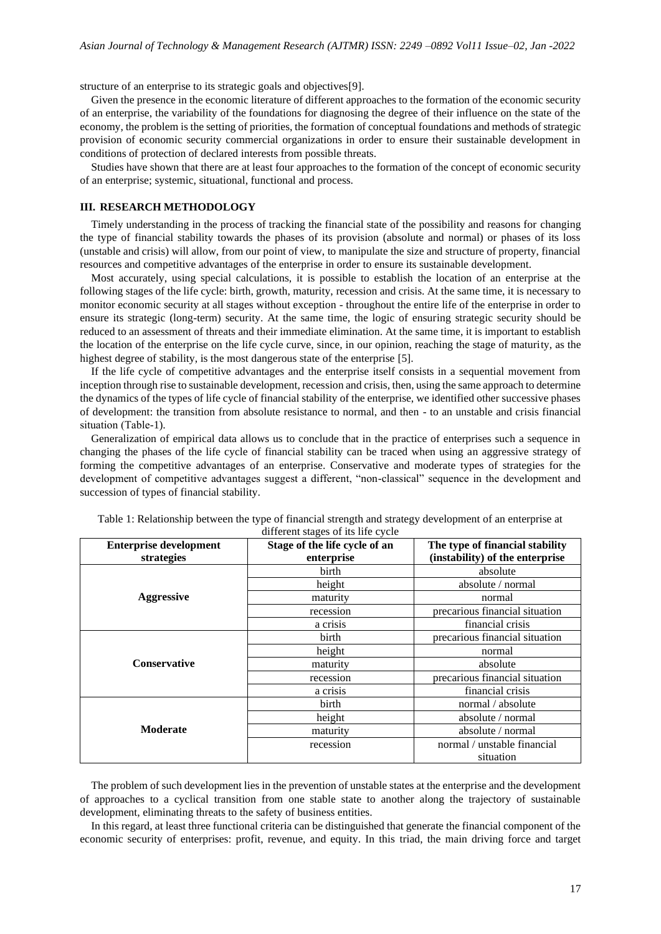structure of an enterprise to its strategic goals and objectives[9].

Given the presence in the economic literature of different approaches to the formation of the economic security of an enterprise, the variability of the foundations for diagnosing the degree of their influence on the state of the economy, the problem is the setting of priorities, the formation of conceptual foundations and methods of strategic provision of economic security commercial organizations in order to ensure their sustainable development in conditions of protection of declared interests from possible threats.

Studies have shown that there are at least four approaches to the formation of the concept of economic security of an enterprise; systemic, situational, functional and process.

#### **III. RESEARCH METHODOLOGY**

Timely understanding in the process of tracking the financial state of the possibility and reasons for changing the type of financial stability towards the phases of its provision (absolute and normal) or phases of its loss (unstable and crisis) will allow, from our point of view, to manipulate the size and structure of property, financial resources and competitive advantages of the enterprise in order to ensure its sustainable development.

Most accurately, using special calculations, it is possible to establish the location of an enterprise at the following stages of the life cycle: birth, growth, maturity, recession and crisis. At the same time, it is necessary to monitor economic security at all stages without exception - throughout the entire life of the enterprise in order to ensure its strategic (long-term) security. At the same time, the logic of ensuring strategic security should be reduced to an assessment of threats and their immediate elimination. At the same time, it is important to establish the location of the enterprise on the life cycle curve, since, in our opinion, reaching the stage of maturity, as the highest degree of stability, is the most dangerous state of the enterprise [5].

If the life cycle of competitive advantages and the enterprise itself consists in a sequential movement from inception through rise to sustainable development, recession and crisis, then, using the same approach to determine the dynamics of the types of life cycle of financial stability of the enterprise, we identified other successive phases of development: the transition from absolute resistance to normal, and then - to an unstable and crisis financial situation (Тable-1).

Generalization of empirical data allows us to conclude that in the practice of enterprises such a sequence in changing the phases of the life cycle of financial stability can be traced when using an aggressive strategy of forming the competitive advantages of an enterprise. Conservative and moderate types of strategies for the development of competitive advantages suggest a different, "non-classical" sequence in the development and succession of types of financial stability.

| <b>Enterprise development</b> | $\ldots$<br>Stage of the life cycle of an | The type of financial stability |
|-------------------------------|-------------------------------------------|---------------------------------|
| strategies                    | enterprise                                | (instability) of the enterprise |
| <b>Aggressive</b>             | birth                                     | absolute                        |
|                               | height                                    | absolute / normal               |
|                               | maturity                                  | normal                          |
|                               | recession                                 | precarious financial situation  |
|                               | a crisis                                  | financial crisis                |
| <b>Conservative</b>           | birth                                     | precarious financial situation  |
|                               | height                                    | normal                          |
|                               | maturity                                  | absolute                        |
|                               | recession                                 | precarious financial situation  |
|                               | a crisis                                  | financial crisis                |
| <b>Moderate</b>               | birth                                     | normal / absolute               |
|                               | height                                    | absolute / normal               |
|                               | maturity                                  | absolute / normal               |
|                               | recession                                 | normal / unstable financial     |
|                               |                                           | situation                       |

Table 1: Relationship between the type of financial strength and strategy development of an enterprise at different stages of its life cycle

The problem of such development lies in the prevention of unstable states at the enterprise and the development of approaches to a cyclical transition from one stable state to another along the trajectory of sustainable development, eliminating threats to the safety of business entities.

In this regard, at least three functional criteria can be distinguished that generate the financial component of the economic security of enterprises: profit, revenue, and equity. In this triad, the main driving force and target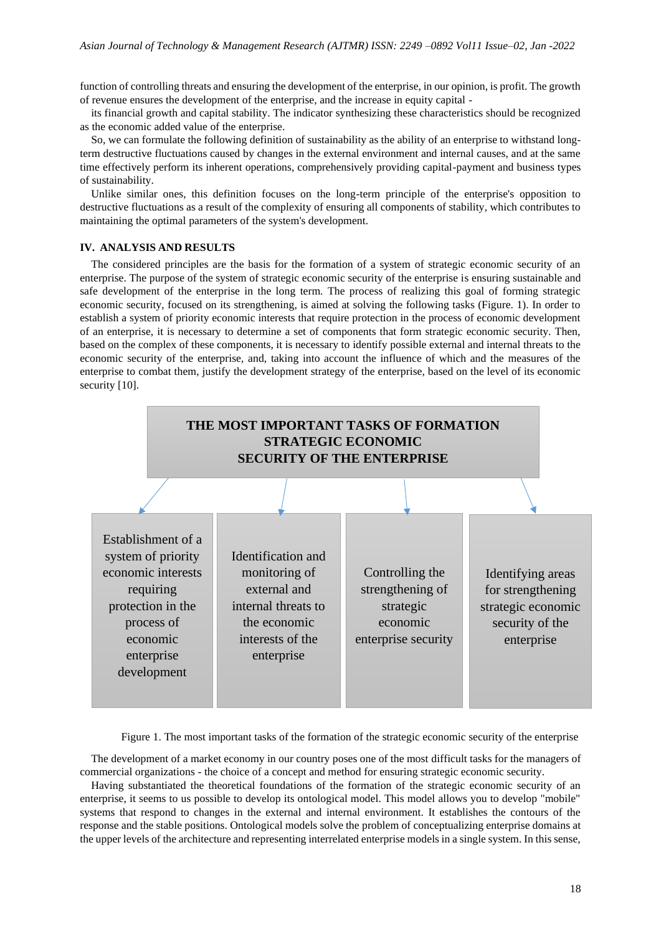function of controlling threats and ensuring the development of the enterprise, in our opinion, is profit. The growth of revenue ensures the development of the enterprise, and the increase in equity capital -

its financial growth and capital stability. The indicator synthesizing these characteristics should be recognized as the economic added value of the enterprise.

So, we can formulate the following definition of sustainability as the ability of an enterprise to withstand longterm destructive fluctuations caused by changes in the external environment and internal causes, and at the same time effectively perform its inherent operations, comprehensively providing capital-payment and business types of sustainability.

Unlike similar ones, this definition focuses on the long-term principle of the enterprise's opposition to destructive fluctuations as a result of the complexity of ensuring all components of stability, which contributes to maintaining the optimal parameters of the system's development.

## **IV. ANALYSIS AND RESULTS**

The considered principles are the basis for the formation of a system of strategic economic security of an enterprise. The purpose of the system of strategic economic security of the enterprise is ensuring sustainable and safe development of the enterprise in the long term. The process of realizing this goal of forming strategic economic security, focused on its strengthening, is aimed at solving the following tasks (Figure. 1). In order to establish a system of priority economic interests that require protection in the process of economic development of an enterprise, it is necessary to determine a set of components that form strategic economic security. Then, based on the complex of these components, it is necessary to identify possible external and internal threats to the economic security of the enterprise, and, taking into account the influence of which and the measures of the enterprise to combat them, justify the development strategy of the enterprise, based on the level of its economic security [10].



Figure 1. The most important tasks of the formation of the strategic economic security of the enterprise

The development of a market economy in our country poses one of the most difficult tasks for the managers of commercial organizations - the choice of a concept and method for ensuring strategic economic security.

Having substantiated the theoretical foundations of the formation of the strategic economic security of an enterprise, it seems to us possible to develop its ontological model. This model allows you to develop "mobile" systems that respond to changes in the external and internal environment. It establishes the contours of the response and the stable positions. Ontological models solve the problem of conceptualizing enterprise domains at the upper levels of the architecture and representing interrelated enterprise models in a single system. In this sense,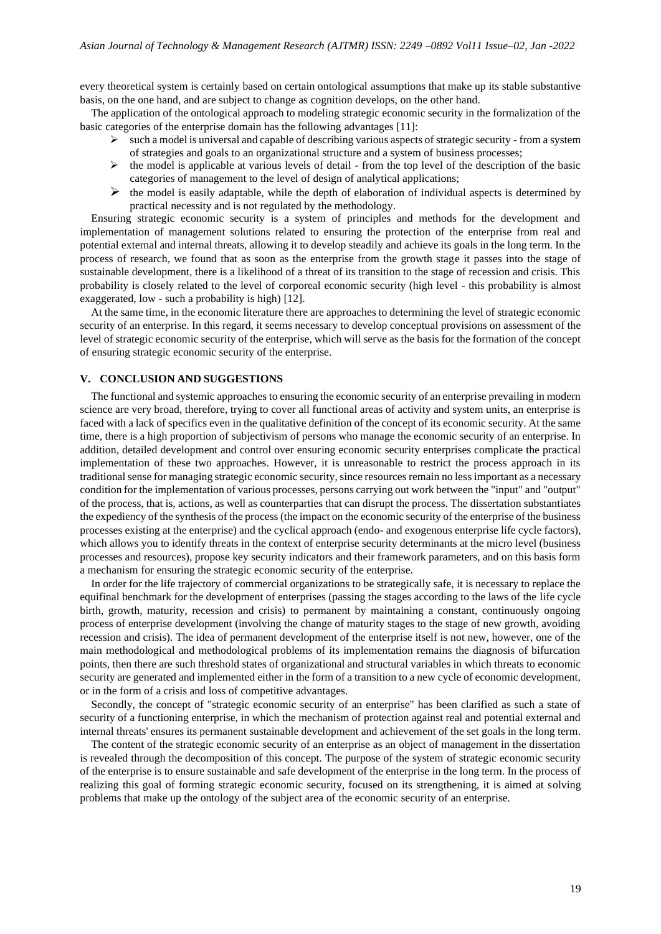every theoretical system is certainly based on certain ontological assumptions that make up its stable substantive basis, on the one hand, and are subject to change as cognition develops, on the other hand.

The application of the ontological approach to modeling strategic economic security in the formalization of the basic categories of the enterprise domain has the following advantages [11]:

- $\triangleright$  such a model is universal and capable of describing various aspects of strategic security from a system of strategies and goals to an organizational structure and a system of business processes;
- $\triangleright$  the model is applicable at various levels of detail from the top level of the description of the basic categories of management to the level of design of analytical applications;
- $\triangleright$  the model is easily adaptable, while the depth of elaboration of individual aspects is determined by practical necessity and is not regulated by the methodology.

Ensuring strategic economic security is a system of principles and methods for the development and implementation of management solutions related to ensuring the protection of the enterprise from real and potential external and internal threats, allowing it to develop steadily and achieve its goals in the long term. In the process of research, we found that as soon as the enterprise from the growth stage it passes into the stage of sustainable development, there is a likelihood of a threat of its transition to the stage of recession and crisis. This probability is closely related to the level of corporeal economic security (high level - this probability is almost exaggerated, low - such a probability is high) [12].

At the same time, in the economic literature there are approaches to determining the level of strategic economic security of an enterprise. In this regard, it seems necessary to develop conceptual provisions on assessment of the level of strategic economic security of the enterprise, which will serve as the basis for the formation of the concept of ensuring strategic economic security of the enterprise.

#### **V. CONCLUSION AND SUGGESTIONS**

The functional and systemic approaches to ensuring the economic security of an enterprise prevailing in modern science are very broad, therefore, trying to cover all functional areas of activity and system units, an enterprise is faced with a lack of specifics even in the qualitative definition of the concept of its economic security. At the same time, there is a high proportion of subjectivism of persons who manage the economic security of an enterprise. In addition, detailed development and control over ensuring economic security enterprises complicate the practical implementation of these two approaches. However, it is unreasonable to restrict the process approach in its traditional sense for managing strategic economic security, since resources remain no less important as a necessary condition for the implementation of various processes, persons carrying out work between the "input" and "output" of the process, that is, actions, as well as counterparties that can disrupt the process. The dissertation substantiates the expediency of the synthesis of the process (the impact on the economic security of the enterprise of the business processes existing at the enterprise) and the cyclical approach (endo- and exogenous enterprise life cycle factors), which allows you to identify threats in the context of enterprise security determinants at the micro level (business processes and resources), propose key security indicators and their framework parameters, and on this basis form a mechanism for ensuring the strategic economic security of the enterprise.

In order for the life trajectory of commercial organizations to be strategically safe, it is necessary to replace the equifinal benchmark for the development of enterprises (passing the stages according to the laws of the life cycle birth, growth, maturity, recession and crisis) to permanent by maintaining a constant, continuously ongoing process of enterprise development (involving the change of maturity stages to the stage of new growth, avoiding recession and crisis). The idea of permanent development of the enterprise itself is not new, however, one of the main methodological and methodological problems of its implementation remains the diagnosis of bifurcation points, then there are such threshold states of organizational and structural variables in which threats to economic security are generated and implemented either in the form of a transition to a new cycle of economic development, or in the form of a crisis and loss of competitive advantages.

Secondly, the concept of "strategic economic security of an enterprise" has been clarified as such a state of security of a functioning enterprise, in which the mechanism of protection against real and potential external and internal threats' ensures its permanent sustainable development and achievement of the set goals in the long term.

The content of the strategic economic security of an enterprise as an object of management in the dissertation is revealed through the decomposition of this concept. The purpose of the system of strategic economic security of the enterprise is to ensure sustainable and safe development of the enterprise in the long term. In the process of realizing this goal of forming strategic economic security, focused on its strengthening, it is aimed at solving problems that make up the ontology of the subject area of the economic security of an enterprise.